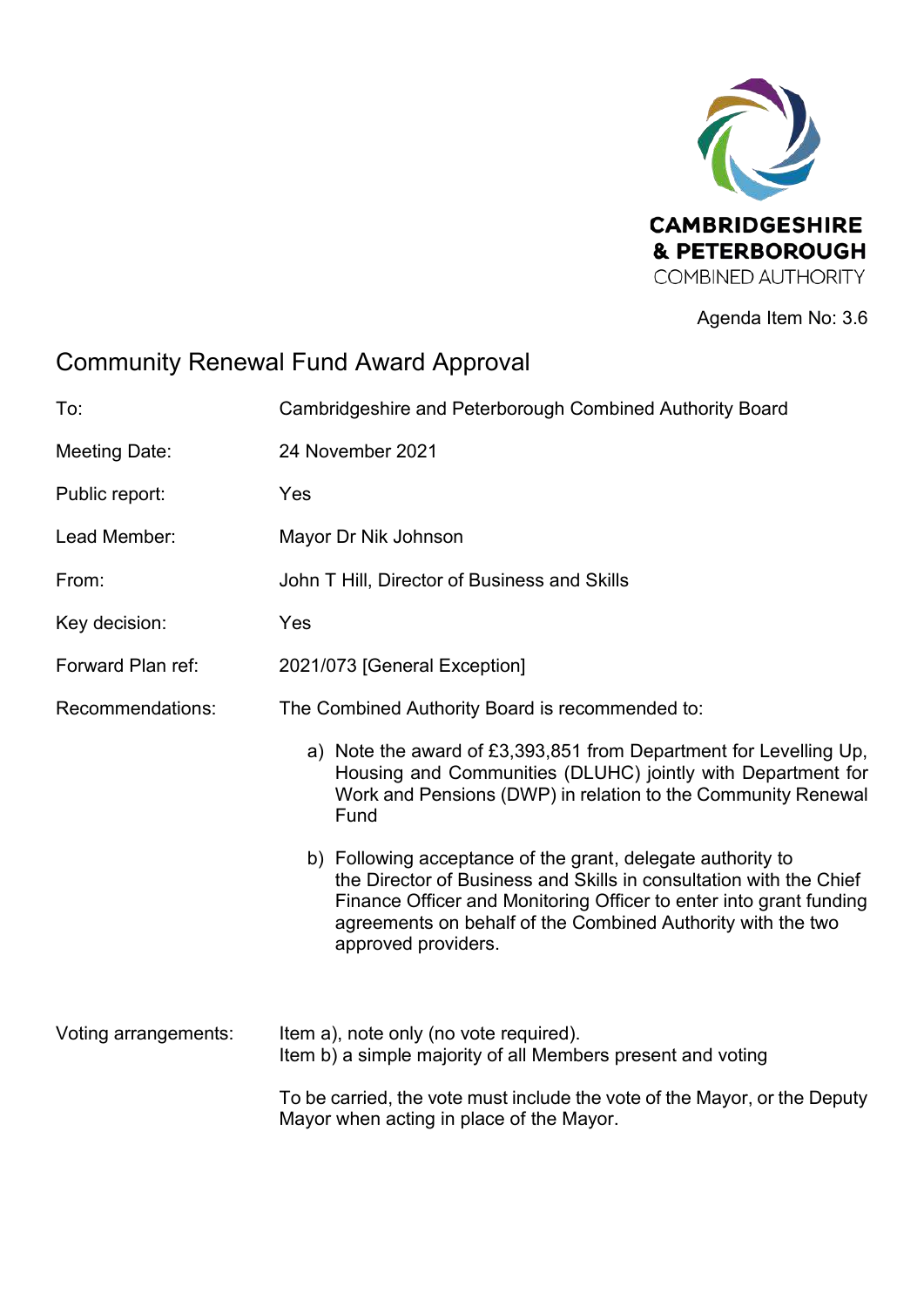

Agenda Item No: 3.6

# Community Renewal Fund Award Approval

| To:                  | Cambridgeshire and Peterborough Combined Authority Board                                                                                                                                                                                                                                      |  |  |
|----------------------|-----------------------------------------------------------------------------------------------------------------------------------------------------------------------------------------------------------------------------------------------------------------------------------------------|--|--|
| Meeting Date:        | 24 November 2021                                                                                                                                                                                                                                                                              |  |  |
| Public report:       | Yes                                                                                                                                                                                                                                                                                           |  |  |
| Lead Member:         | Mayor Dr Nik Johnson                                                                                                                                                                                                                                                                          |  |  |
| From:                | John T Hill, Director of Business and Skills                                                                                                                                                                                                                                                  |  |  |
| Key decision:        | Yes                                                                                                                                                                                                                                                                                           |  |  |
| Forward Plan ref:    | 2021/073 [General Exception]                                                                                                                                                                                                                                                                  |  |  |
| Recommendations:     | The Combined Authority Board is recommended to:                                                                                                                                                                                                                                               |  |  |
|                      | a) Note the award of £3,393,851 from Department for Levelling Up,<br>Housing and Communities (DLUHC) jointly with Department for<br>Work and Pensions (DWP) in relation to the Community Renewal<br>Fund                                                                                      |  |  |
|                      | b) Following acceptance of the grant, delegate authority to<br>the Director of Business and Skills in consultation with the Chief<br>Finance Officer and Monitoring Officer to enter into grant funding<br>agreements on behalf of the Combined Authority with the two<br>approved providers. |  |  |
| Voting arrangements: | Item a), note only (no vote required).<br>Item b) a simple majority of all Members present and voting                                                                                                                                                                                         |  |  |
|                      | To be carried, the vote must include the vote of the Mayor, or the Deputy<br>Mayor when acting in place of the Mayor.                                                                                                                                                                         |  |  |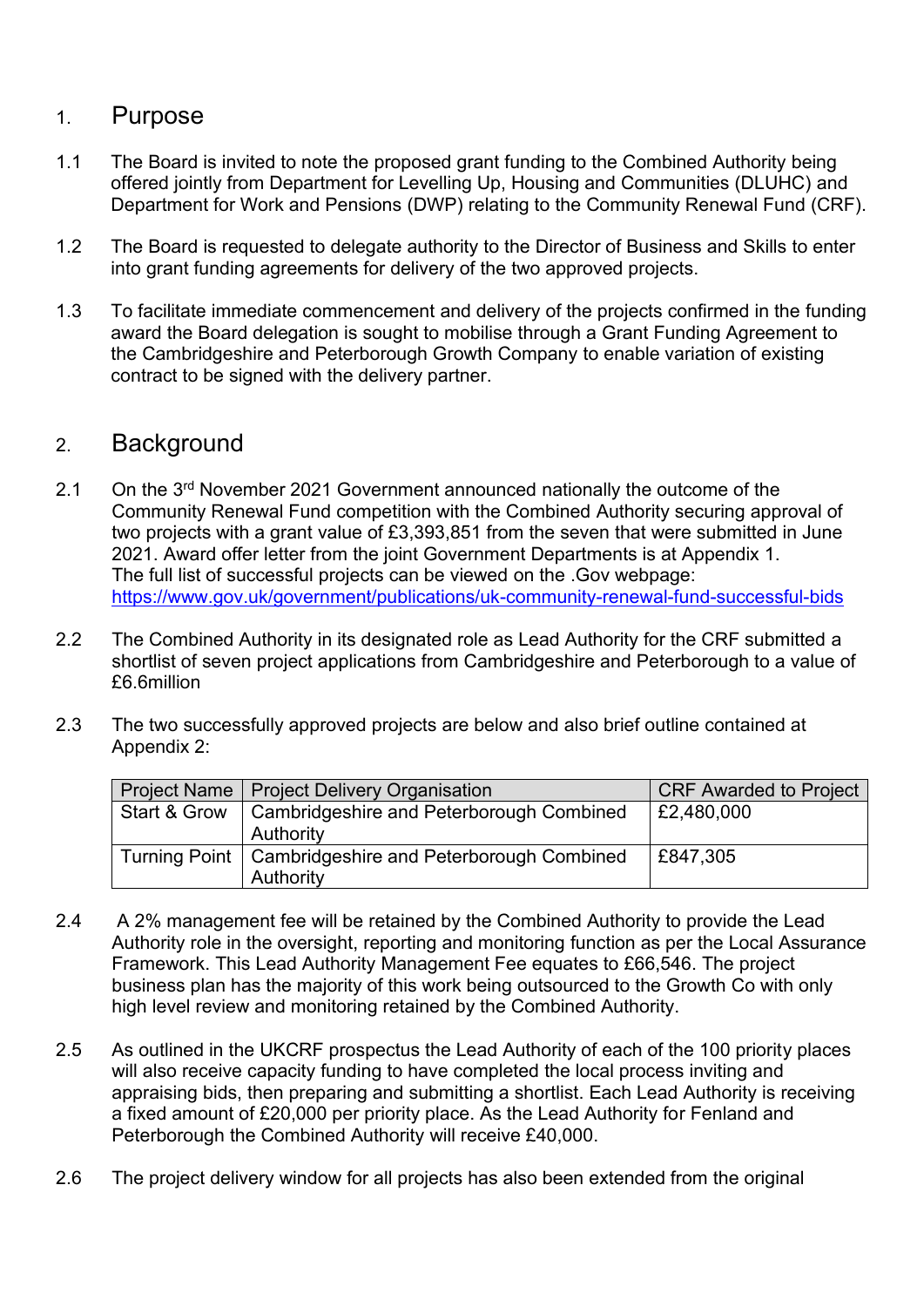#### 1. Purpose

- 1.1 The Board is invited to note the proposed grant funding to the Combined Authority being offered jointly from Department for Levelling Up, Housing and Communities (DLUHC) and Department for Work and Pensions (DWP) relating to the Community Renewal Fund (CRF).
- 1.2 The Board is requested to delegate authority to the Director of Business and Skills to enter into grant funding agreements for delivery of the two approved projects.
- 1.3 To facilitate immediate commencement and delivery of the projects confirmed in the funding award the Board delegation is sought to mobilise through a Grant Funding Agreement to the Cambridgeshire and Peterborough Growth Company to enable variation of existing contract to be signed with the delivery partner.

#### 2. Background

- 2.1 On the 3<sup>rd</sup> November 2021 Government announced nationally the outcome of the Community Renewal Fund competition with the Combined Authority securing approval of two projects with a grant value of £3,393,851 from the seven that were submitted in June 2021. Award offer letter from the joint Government Departments is at Appendix 1. The full list of successful projects can be viewed on the .Gov webpage: <https://www.gov.uk/government/publications/uk-community-renewal-fund-successful-bids>
- 2.2 The Combined Authority in its designated role as Lead Authority for the CRF submitted a shortlist of seven project applications from Cambridgeshire and Peterborough to a value of £6.6million
- 2.3 The two successfully approved projects are below and also brief outline contained at Appendix 2:

|              | Project Name   Project Delivery Organisation             | <b>CRF Awarded to Project</b> |
|--------------|----------------------------------------------------------|-------------------------------|
|              |                                                          |                               |
| Start & Grow | Cambridgeshire and Peterborough Combined                 | £2,480,000                    |
|              |                                                          |                               |
|              |                                                          |                               |
|              | Authority                                                |                               |
|              |                                                          | £847,305                      |
|              | Turning Point   Cambridgeshire and Peterborough Combined |                               |
|              |                                                          |                               |
|              | Authority                                                |                               |
|              |                                                          |                               |

- 2.4 A 2% management fee will be retained by the Combined Authority to provide the Lead Authority role in the oversight, reporting and monitoring function as per the Local Assurance Framework. This Lead Authority Management Fee equates to £66,546. The project business plan has the majority of this work being outsourced to the Growth Co with only high level review and monitoring retained by the Combined Authority.
- 2.5 As outlined in the UKCRF prospectus the Lead Authority of each of the 100 priority places will also receive capacity funding to have completed the local process inviting and appraising bids, then preparing and submitting a shortlist. Each Lead Authority is receiving a fixed amount of £20,000 per priority place. As the Lead Authority for Fenland and Peterborough the Combined Authority will receive £40,000.
- 2.6 The project delivery window for all projects has also been extended from the original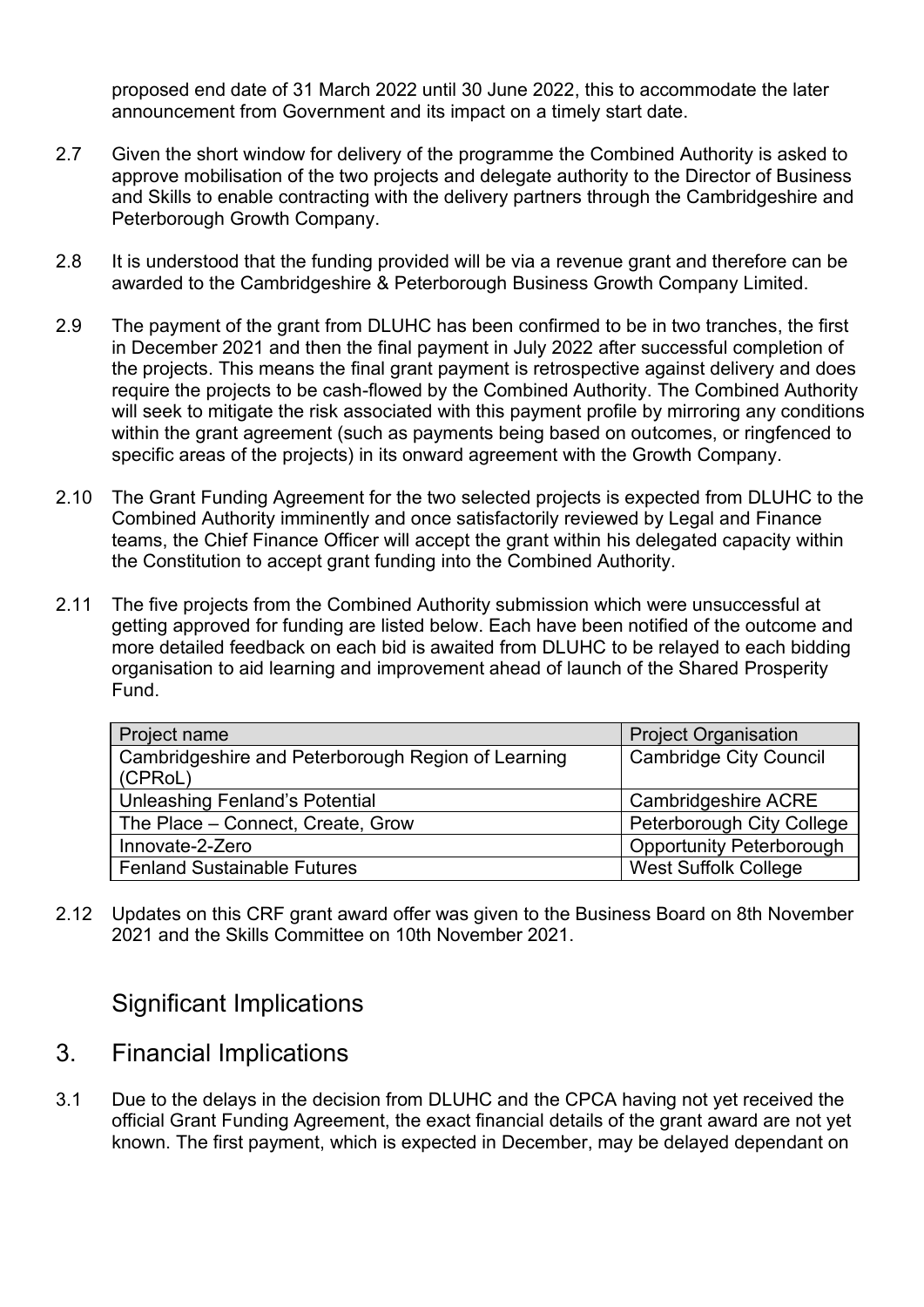proposed end date of 31 March 2022 until 30 June 2022, this to accommodate the later announcement from Government and its impact on a timely start date.

- 2.7 Given the short window for delivery of the programme the Combined Authority is asked to approve mobilisation of the two projects and delegate authority to the Director of Business and Skills to enable contracting with the delivery partners through the Cambridgeshire and Peterborough Growth Company.
- 2.8 It is understood that the funding provided will be via a revenue grant and therefore can be awarded to the Cambridgeshire & Peterborough Business Growth Company Limited.
- 2.9 The payment of the grant from DLUHC has been confirmed to be in two tranches, the first in December 2021 and then the final payment in July 2022 after successful completion of the projects. This means the final grant payment is retrospective against delivery and does require the projects to be cash-flowed by the Combined Authority. The Combined Authority will seek to mitigate the risk associated with this payment profile by mirroring any conditions within the grant agreement (such as payments being based on outcomes, or ringfenced to specific areas of the projects) in its onward agreement with the Growth Company.
- 2.10 The Grant Funding Agreement for the two selected projects is expected from DLUHC to the Combined Authority imminently and once satisfactorily reviewed by Legal and Finance teams, the Chief Finance Officer will accept the grant within his delegated capacity within the Constitution to accept grant funding into the Combined Authority.
- 2.11 The five projects from the Combined Authority submission which were unsuccessful at getting approved for funding are listed below. Each have been notified of the outcome and more detailed feedback on each bid is awaited from DLUHC to be relayed to each bidding organisation to aid learning and improvement ahead of launch of the Shared Prosperity Fund.

| Project name                                                  | <b>Project Organisation</b>      |
|---------------------------------------------------------------|----------------------------------|
| Cambridgeshire and Peterborough Region of Learning<br>(CPRoL) | <b>Cambridge City Council</b>    |
| Unleashing Fenland's Potential                                | Cambridgeshire ACRE              |
| The Place - Connect, Create, Grow                             | <b>Peterborough City College</b> |
| Innovate-2-Zero                                               | <b>Opportunity Peterborough</b>  |
| <b>Fenland Sustainable Futures</b>                            | <b>West Suffolk College</b>      |

2.12 Updates on this CRF grant award offer was given to the Business Board on 8th November 2021 and the Skills Committee on 10th November 2021.

#### Significant Implications

- 3. Financial Implications
- 3.1 Due to the delays in the decision from DLUHC and the CPCA having not yet received the official Grant Funding Agreement, the exact financial details of the grant award are not yet known. The first payment, which is expected in December, may be delayed dependant on